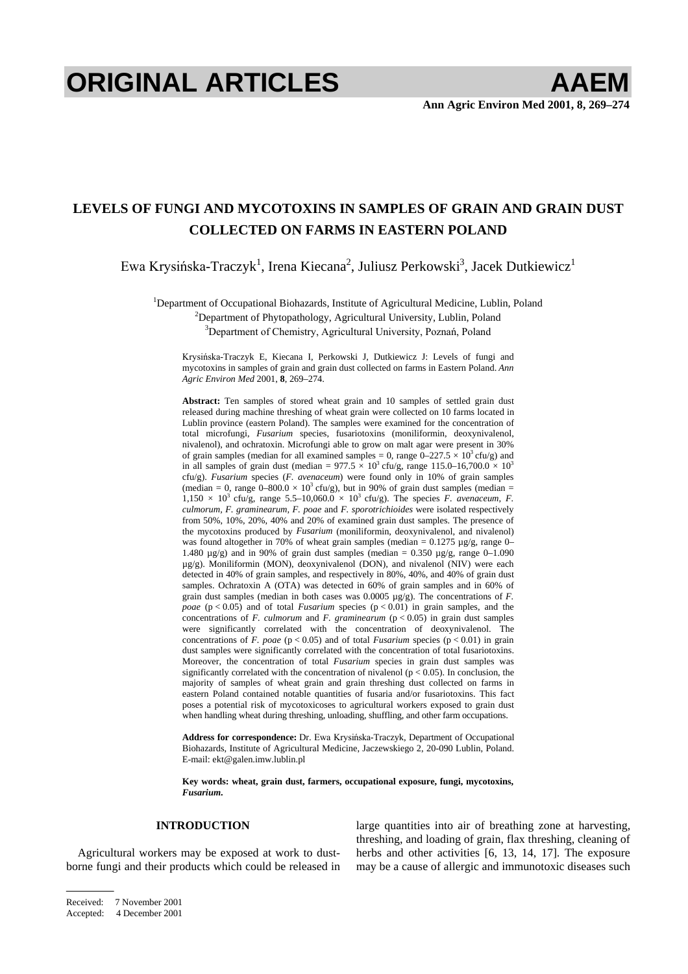# **ORIGINAL ARTICLES AAEM**

# **LEVELS OF FUNGI AND MYCOTOXINS IN SAMPLES OF GRAIN AND GRAIN DUST COLLECTED ON FARMS IN EASTERN POLAND**

Ewa Krysińska-Traczyk<sup>1</sup>, Irena Kiecana<sup>2</sup>, Juliusz Perkowski<sup>3</sup>, Jacek Dutkiewicz<sup>1</sup>

<sup>1</sup>Department of Occupational Biohazards, Institute of Agricultural Medicine, Lublin, Poland <sup>2</sup>Department of Phytopathology, Agricultural University, Lublin, Poland <sup>2</sup>Department of Phytopathology, Agricultural University, Lublin, Poland

<sup>3</sup>Department of Chemistry, Agricultural University, Poznań, Poland

Krysińska-Traczyk E, Kiecana I, Perkowski J, Dutkiewicz J: Levels of fungi and mycotoxins in samples of grain and grain dust collected on farms in Eastern Poland. *Ann Agric Environ Med* 2001, **8**, 269–274.

**Abstract:** Ten samples of stored wheat grain and 10 samples of settled grain dust released during machine threshing of wheat grain were collected on 10 farms located in Lublin province (eastern Poland). The samples were examined for the concentration of total microfungi, *Fusarium* species, fusariotoxins (moniliformin, deoxynivalenol, nivalenol), and ochratoxin. Microfungi able to grow on malt agar were present in 30% of grain samples (median for all examined samples = 0, range  $0-227.5 \times 10^3$  cfu/g) and in all samples of grain dust (median =  $977.5 \times 10^3$  cfu/g, range 115.0–16,700.0  $\times 10^3$ cfu/g). *Fusarium* species (*F. avenaceum*) were found only in 10% of grain samples (median = 0, range  $0-800.0 \times 10^3$  cfu/g), but in 90% of grain dust samples (median =  $1,150 \times 10^3$  cfu/g, range 5.5–10,060.0  $\times$  10<sup>3</sup> cfu/g). The species *F. avenaceum, F. culmorum, F. graminearum, F. poae* and *F. sporotrichioides* were isolated respectively from 50%, 10%, 20%, 40% and 20% of examined grain dust samples. The presence of the mycotoxins produced by *Fusarium* (moniliformin, deoxynivalenol, and nivalenol) was found altogether in 70% of wheat grain samples (median =  $0.1275 \mu g/g$ , range 0– 1.480  $\mu$ g/g) and in 90% of grain dust samples (median = 0.350  $\mu$ g/g, range 0–1.090 µg/g). Moniliformin (MON), deoxynivalenol (DON), and nivalenol (NIV) were each detected in 40% of grain samples, and respectively in 80%, 40%, and 40% of grain dust samples. Ochratoxin A (OTA) was detected in 60% of grain samples and in 60% of grain dust samples (median in both cases was 0.0005 µg/g). The concentrations of *F. poae*  $(p < 0.05)$  and of total *Fusarium* species  $(p < 0.01)$  in grain samples, and the concentrations of  $F.$  *culmorum* and  $F.$  *graminearum* ( $p < 0.05$ ) in grain dust samples were significantly correlated with the concentration of deoxynivalenol. The concentrations of *F. poae* ( $p < 0.05$ ) and of total *Fusarium* species ( $p < 0.01$ ) in grain dust samples were significantly correlated with the concentration of total fusariotoxins. Moreover, the concentration of total *Fusarium* species in grain dust samples was significantly correlated with the concentration of nivalenol ( $p < 0.05$ ). In conclusion, the majority of samples of wheat grain and grain threshing dust collected on farms in eastern Poland contained notable quantities of fusaria and/or fusariotoxins. This fact poses a potential risk of mycotoxicoses to agricultural workers exposed to grain dust when handling wheat during threshing, unloading, shuffling, and other farm occupations.

Address for correspondence: Dr. Ewa Krysińska-Traczyk, Department of Occupational Biohazards, Institute of Agricultural Medicine, Jaczewskiego 2, 20-090 Lublin, Poland. E-mail: ekt@galen.imw.lublin.pl

**Key words: wheat, grain dust, farmers, occupational exposure, fungi, mycotoxins,**  *Fusarium***.**

#### **INTRODUCTION**

Agricultural workers may be exposed at work to dustborne fungi and their products which could be released in large quantities into air of breathing zone at harvesting, threshing, and loading of grain, flax threshing, cleaning of herbs and other activities [6, 13, 14, 17]. The exposure may be a cause of allergic and immunotoxic diseases such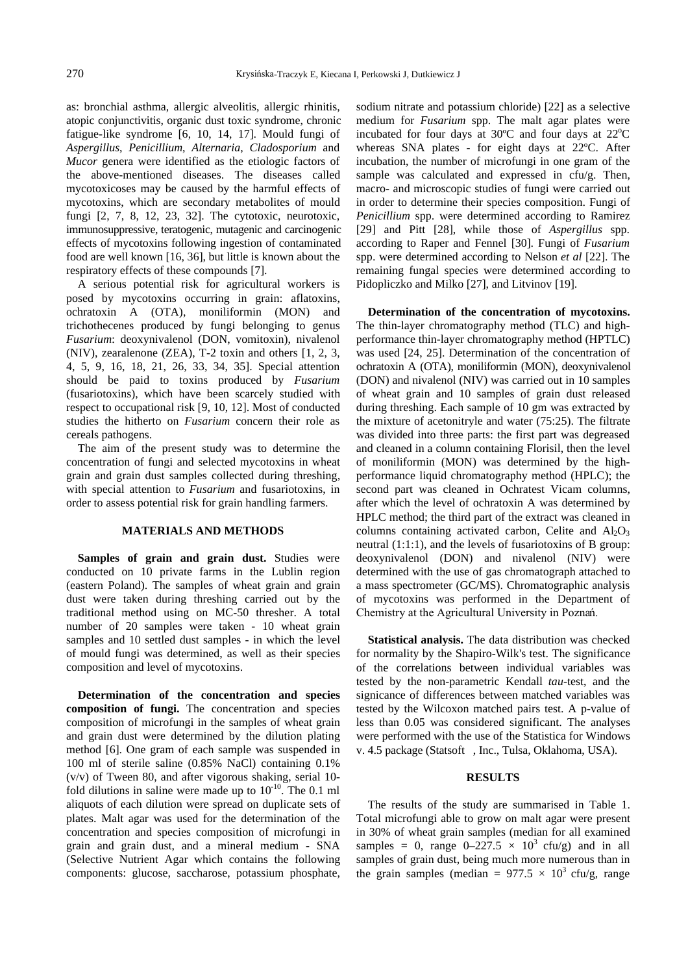as: bronchial asthma, allergic alveolitis, allergic rhinitis, atopic conjunctivitis, organic dust toxic syndrome, chronic fatigue-like syndrome [6, 10, 14, 17]. Mould fungi of *Aspergillus*, *Penicillium*, *Alternaria*, *Cladosporium* and *Mucor* genera were identified as the etiologic factors of the above-mentioned diseases. The diseases called mycotoxicoses may be caused by the harmful effects of mycotoxins, which are secondary metabolites of mould fungi [2, 7, 8, 12, 23, 32]. The cytotoxic, neurotoxic, immunosuppressive, teratogenic, mutagenic and carcinogenic effects of mycotoxins following ingestion of contaminated food are well known [16, 36], but little is known about the respiratory effects of these compounds [7].

A serious potential risk for agricultural workers is posed by mycotoxins occurring in grain: aflatoxins, ochratoxin A (OTA), moniliformin (MON) and trichothecenes produced by fungi belonging to genus *Fusarium*: deoxynivalenol (DON, vomitoxin), nivalenol (NIV), zearalenone (ZEA), T-2 toxin and others [1, 2, 3, 4, 5, 9, 16, 18, 21, 26, 33, 34, 35]. Special attention should be paid to toxins produced by *Fusarium* (fusariotoxins), which have been scarcely studied with respect to occupational risk [9, 10, 12]. Most of conducted studies the hitherto on *Fusarium* concern their role as cereals pathogens.

The aim of the present study was to determine the concentration of fungi and selected mycotoxins in wheat grain and grain dust samples collected during threshing, with special attention to *Fusarium* and fusariotoxins, in order to assess potential risk for grain handling farmers.

#### **MATERIALS AND METHODS**

**Samples of grain and grain dust.** Studies were conducted on 10 private farms in the Lublin region (eastern Poland). The samples of wheat grain and grain dust were taken during threshing carried out by the traditional method using on MC-50 thresher. A total number of 20 samples were taken - 10 wheat grain samples and 10 settled dust samples - in which the level of mould fungi was determined, as well as their species composition and level of mycotoxins.

**Determination of the concentration and species composition of fungi.** The concentration and species composition of microfungi in the samples of wheat grain and grain dust were determined by the dilution plating method [6]. One gram of each sample was suspended in 100 ml of sterile saline (0.85% NaCl) containing 0.1% (v/v) of Tween 80, and after vigorous shaking, serial 10 fold dilutions in saline were made up to  $10^{-10}$ . The 0.1 ml aliquots of each dilution were spread on duplicate sets of plates. Malt agar was used for the determination of the concentration and species composition of microfungi in grain and grain dust, and a mineral medium - SNA (Selective Nutrient Agar which contains the following components: glucose, saccharose, potassium phosphate, sodium nitrate and potassium chloride) [22] as a selective medium for *Fusarium* spp. The malt agar plates were incubated for four days at  $30^{\circ}$ C and four days at  $22^{\circ}$ C whereas SNA plates - for eight days at 22ºC. After incubation, the number of microfungi in one gram of the sample was calculated and expressed in cfu/g. Then, macro- and microscopic studies of fungi were carried out in order to determine their species composition. Fungi of *Penicillium* spp. were determined according to Ramirez [29] and Pitt [28], while those of *Aspergillus* spp. according to Raper and Fennel [30]. Fungi of *Fusarium*  spp. were determined according to Nelson *et al* [22]. The remaining fungal species were determined according to Pidopliczko and Milko [27], and Litvinov [19].

**Determination of the concentration of mycotoxins.** The thin-layer chromatography method (TLC) and highperformance thin-layer chromatography method (HPTLC) was used [24, 25]. Determination of the concentration of ochratoxin A (OTA), moniliformin (MON), deoxynivalenol (DON) and nivalenol (NIV) was carried out in 10 samples of wheat grain and 10 samples of grain dust released during threshing. Each sample of 10 gm was extracted by the mixture of acetonitryle and water (75:25). The filtrate was divided into three parts: the first part was degreased and cleaned in a column containing Florisil, then the level of moniliformin (MON) was determined by the highperformance liquid chromatography method (HPLC); the second part was cleaned in Ochratest Vicam columns, after which the level of ochratoxin A was determined by HPLC method; the third part of the extract was cleaned in columns containing activated carbon, Celite and  $Al_2O_3$ neutral (1:1:1), and the levels of fusariotoxins of B group: deoxynivalenol (DON) and nivalenol (NIV) were determined with the use of gas chromatograph attached to a mass spectrometer (GC/MS). Chromatographic analysis of mycotoxins was performed in the Department of Chemistry at the Agricultural University in Poznań.

**Statistical analysis.** The data distribution was checked for normality by the Shapiro-Wilk's test. The significance of the correlations between individual variables was tested by the non-parametric Kendall *tau*-test, and the signicance of differences between matched variables was tested by the Wilcoxon matched pairs test. A p-value of less than 0.05 was considered significant. The analyses were performed with the use of the Statistica for Windows v. 4.5 package (Statsoft©, Inc., Tulsa, Oklahoma, USA).

## **RESULTS**

The results of the study are summarised in Table 1. Total microfungi able to grow on malt agar were present in 30% of wheat grain samples (median for all examined samples = 0, range  $0-227.5 \times 10^3$  cfu/g) and in all samples of grain dust, being much more numerous than in the grain samples (median =  $977.5 \times 10^3$  cfu/g, range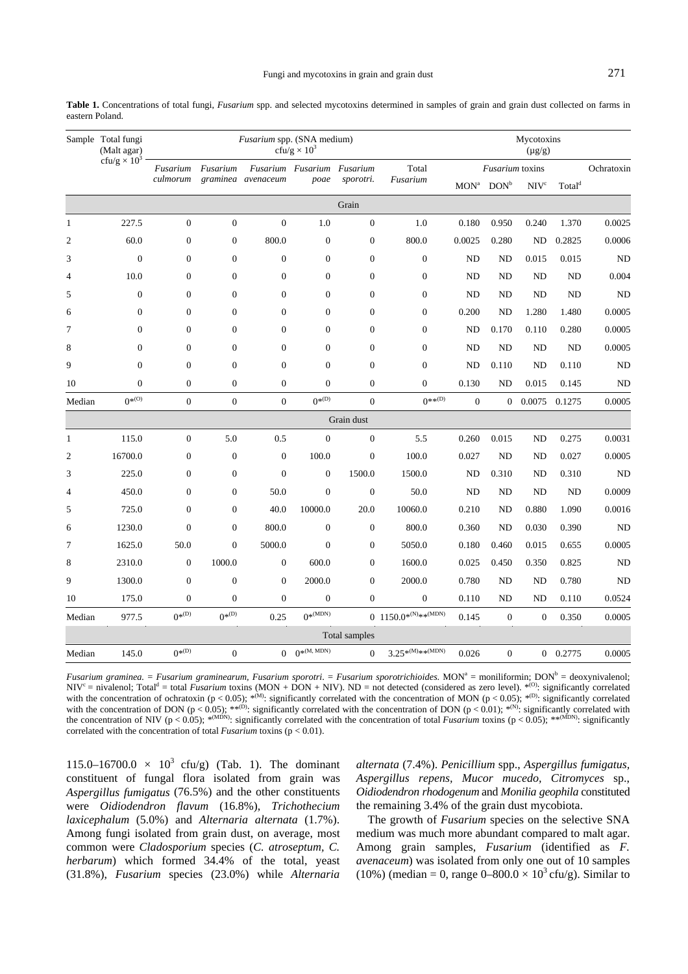|                 | Table 1. Concentrations of total fungi, Fusarium spp. and selected mycotoxins determined in samples of grain and grain dust collected on farms in |  |  |  |  |  |  |  |
|-----------------|---------------------------------------------------------------------------------------------------------------------------------------------------|--|--|--|--|--|--|--|
| eastern Poland. |                                                                                                                                                   |  |  |  |  |  |  |  |

|                | Sample Total fungi<br>(Malt agar)<br>cfu/g $\times$ 10 <sup>3</sup> |                  | Mycotoxins<br>$(\mu g/g)$ |                    |                                    |                  |                                              |              |                 |                  |                               |            |
|----------------|---------------------------------------------------------------------|------------------|---------------------------|--------------------|------------------------------------|------------------|----------------------------------------------|--------------|-----------------|------------------|-------------------------------|------------|
|                |                                                                     | Fusarium         | Fusarium                  | graminea avenaceum | Fusarium Fusarium Fusarium<br>poae | sporotri.        | Total<br>Fusarium                            |              | Fusarium toxins |                  |                               | Ochratoxin |
|                |                                                                     | culmorum         |                           |                    |                                    |                  |                                              | $\rm{MON}^a$ | $DOM^b$         | NIV <sup>c</sup> | $\mathrm{Total}^{\mathrm{d}}$ |            |
|                |                                                                     |                  |                           |                    |                                    | Grain            |                                              |              |                 |                  |                               |            |
| $\mathbf{1}$   | 227.5                                                               | $\mathbf{0}$     | $\boldsymbol{0}$          | $\overline{0}$     | 1.0                                | $\overline{0}$   | 1.0                                          | 0.180        | 0.950           | 0.240            | 1.370                         | 0.0025     |
| $\overline{c}$ | 60.0                                                                | $\boldsymbol{0}$ | $\boldsymbol{0}$          | 800.0              | $\boldsymbol{0}$                   | $\mathbf{0}$     | 800.0                                        | 0.0025       | 0.280           | ND               | 0.2825                        | 0.0006     |
| 3              | $\mathbf{0}$                                                        | $\mathbf{0}$     | $\mathbf{0}$              | $\overline{0}$     | $\overline{0}$                     | $\overline{0}$   | $\overline{0}$                               | <b>ND</b>    | <b>ND</b>       | 0.015            | 0.015                         | ND         |
| 4              | 10.0                                                                | $\boldsymbol{0}$ | $\boldsymbol{0}$          | $\overline{0}$     | $\overline{0}$                     | $\overline{0}$   | $\boldsymbol{0}$                             | ND           | <b>ND</b>       | ND               | <b>ND</b>                     | 0.004      |
| 5              | $\mathbf{0}$                                                        | $\boldsymbol{0}$ | $\boldsymbol{0}$          | $\overline{0}$     | $\overline{0}$                     | $\overline{0}$   | $\boldsymbol{0}$                             | ND           | <b>ND</b>       | ND               | <b>ND</b>                     | <b>ND</b>  |
| 6              | $\overline{0}$                                                      | $\mathbf{0}$     | $\mathbf{0}$              | $\overline{0}$     | $\overline{0}$                     | $\overline{0}$   | $\overline{0}$                               | 0.200        | <b>ND</b>       | 1.280            | 1.480                         | 0.0005     |
| 7              | $\overline{0}$                                                      | $\mathbf{0}$     | $\mathbf{0}$              | $\overline{0}$     | $\overline{0}$                     | $\mathbf{0}$     | $\overline{0}$                               | ND           | 0.170           | 0.110            | 0.280                         | 0.0005     |
| 8              | $\overline{0}$                                                      | $\boldsymbol{0}$ | $\boldsymbol{0}$          | $\overline{0}$     | $\overline{0}$                     | $\boldsymbol{0}$ | $\boldsymbol{0}$                             | <b>ND</b>    | <b>ND</b>       | ND               | <b>ND</b>                     | 0.0005     |
| 9              | $\overline{0}$                                                      | $\mathbf{0}$     | $\mathbf{0}$              | $\overline{0}$     | $\overline{0}$                     | $\overline{0}$   | $\overline{0}$                               | <b>ND</b>    | 0.110           | ND               | 0.110                         | ND         |
| 10             | $\overline{0}$                                                      | $\boldsymbol{0}$ | $\boldsymbol{0}$          | $\overline{0}$     | $\overline{0}$                     | $\mathbf{0}$     | $\overline{0}$                               | 0.130        | <b>ND</b>       | 0.015            | 0.145                         | ND         |
| Median         | $0^{*(0)}$                                                          | $\boldsymbol{0}$ | $\boldsymbol{0}$          | $\overline{0}$     | $0^{*(D)}$                         | $\overline{0}$   | $0**^{(D)}$                                  | $\mathbf{0}$ | $\overline{0}$  | 0.0075           | 0.1275                        | 0.0005     |
|                |                                                                     |                  |                           |                    |                                    | Grain dust       |                                              |              |                 |                  |                               |            |
| $\mathbf{1}$   | 115.0                                                               | $\boldsymbol{0}$ | 5.0                       | 0.5                | $\overline{0}$                     | $\overline{0}$   | 5.5                                          | 0.260        | 0.015           | <b>ND</b>        | 0.275                         | 0.0031     |
| $\overline{c}$ | 16700.0                                                             | $\boldsymbol{0}$ | $\boldsymbol{0}$          | $\boldsymbol{0}$   | 100.0                              | $\mathbf{0}$     | 100.0                                        | 0.027        | ND              | ND               | 0.027                         | 0.0005     |
| 3              | 225.0                                                               | $\mathbf{0}$     | $\mathbf{0}$              | $\overline{0}$     | $\overline{0}$                     | 1500.0           | 1500.0                                       | ND           | 0.310           | ND               | 0.310                         | ND         |
| 4              | 450.0                                                               | $\boldsymbol{0}$ | $\boldsymbol{0}$          | 50.0               | $\mathbf{0}$                       | $\mathbf{0}$     | 50.0                                         | ND           | <b>ND</b>       | ND               | <b>ND</b>                     | 0.0009     |
| 5              | 725.0                                                               | $\boldsymbol{0}$ | $\boldsymbol{0}$          | 40.0               | 10000.0                            | 20.0             | 10060.0                                      | 0.210        | <b>ND</b>       | 0.880            | 1.090                         | 0.0016     |
| 6              | 1230.0                                                              | $\mathbf{0}$     | $\overline{0}$            | 800.0              | $\overline{0}$                     | $\overline{0}$   | 800.0                                        | 0.360        | <b>ND</b>       | 0.030            | 0.390                         | ND         |
| $\overline{7}$ | 1625.0                                                              | 50.0             | $\overline{0}$            | 5000.0             | $\overline{0}$                     | $\boldsymbol{0}$ | 5050.0                                       | 0.180        | 0.460           | 0.015            | 0.655                         | 0.0005     |
| 8              | 2310.0                                                              | $\mathbf{0}$     | 1000.0                    | $\mathbf{0}$       | 600.0                              | $\overline{0}$   | 1600.0                                       | 0.025        | 0.450           | 0.350            | 0.825                         | ND         |
| 9              | 1300.0                                                              | $\boldsymbol{0}$ | $\overline{0}$            | $\overline{0}$     | 2000.0                             | $\overline{0}$   | 2000.0                                       | 0.780        | ND              | <b>ND</b>        | 0.780                         | <b>ND</b>  |
| 10             | 175.0                                                               | $\boldsymbol{0}$ | $\boldsymbol{0}$          | $\overline{0}$     | $\mathbf{0}$                       | $\overline{0}$   | $\boldsymbol{0}$                             | 0.110        | <b>ND</b>       | ND               | 0.110                         | 0.0524     |
| Median         | 977.5                                                               | $0^{*(D)}$       | $0^{*(D)}$                | 0.25               | $0^{*(MDN)}$                       |                  | 0 1150.0* <sup>(N)</sup> ** <sup>(MDN)</sup> | 0.145        | $\Omega$        | $\Omega$         | 0.350                         | 0.0005     |
|                |                                                                     |                  |                           |                    |                                    | Total samples    |                                              |              |                 |                  |                               |            |
| Median         | 145.0                                                               | $0^{*(D)}$       | $\boldsymbol{0}$          | $\overline{0}$     | $0^{*(M, MDN)}$                    | $\Omega$         | $3.25^{*(M)_{**}(MDN)}$                      | 0.026        | $\overline{0}$  |                  | $0$ 0.2775                    | 0.0005     |

Fusarium graminea. = Fusarium graminearum, Fusarium sporotri. = Fusarium sporotrichioides. MON<sup>a</sup> = moniliformin; DON<sup>b</sup> = deoxynivalenol;  $NIV^c$  = nivalenol; Total<sup>d</sup> = total *Fusarium* toxins (MON + DON + NIV). ND = not detected (considered as zero level). \*<sup>(O)</sup>: significantly correlated with the concentration of ochratoxin (p < 0.05);  $*^{(M)}$ : significantly correlated with the concentration of MON (p < 0.05);  $*^{(D)}$ : significantly correlated with the concentration of MON (p < 0.05);  $*^{(D)}$ : significant with the concentration of DON (p < 0.05); \*\*<sup>(D)</sup>: significantly correlated with the concentration of DON (p < 0.01); \*<sup>(N)</sup>: significantly correlated with the concentration of NIV ( $p < 0.05$ ); \*<sup>(MDN)</sup>: significantly correlated with the concentration of total *Fusarium* toxins ( $p < 0.05$ ); \*\*<sup>(MDN)</sup>: significantly correlated with the concentration of total *Fusarium* toxins ( $p < 0.01$ ).

115.0–16700.0  $\times$  10<sup>3</sup> cfu/g) (Tab. 1). The dominant constituent of fungal flora isolated from grain was *Aspergillus fumigatus* (76.5%) and the other constituents were *Oidiodendron flavum* (16.8%), *Trichothecium laxicephalum* (5.0%) and *Alternaria alternata* (1.7%). Among fungi isolated from grain dust, on average, most common were *Cladosporium* species (*C. atroseptum, C. herbarum*) which formed 34.4% of the total, yeast (31.8%), *Fusarium* species (23.0%) while *Alternaria* 

*alternata* (7.4%). *Penicillium* spp., *Aspergillus fumigatus, Aspergillus repens, Mucor mucedo, Citromyces* sp., *Oidiodendron rhodogenum* and *Monilia geophila* constituted the remaining 3.4% of the grain dust mycobiota.

The growth of *Fusarium* species on the selective SNA medium was much more abundant compared to malt agar. Among grain samples, *Fusarium* (identified as *F. avenaceum*) was isolated from only one out of 10 samples (10%) (median = 0, range  $0-800.0 \times 10^3$  cfu/g). Similar to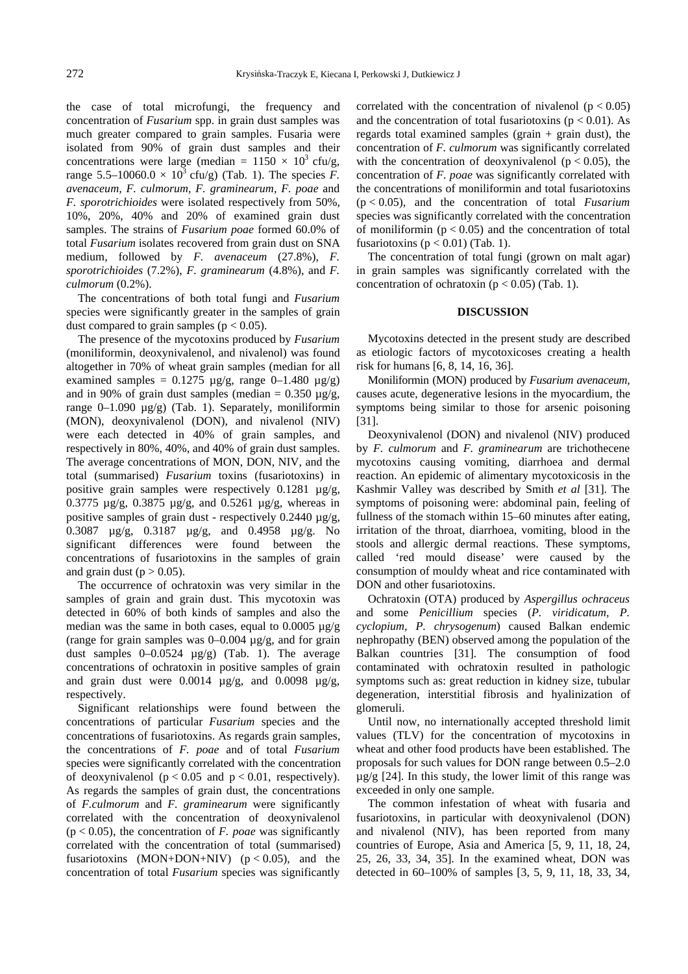the case of total microfungi, the frequency and concentration of *Fusarium* spp. in grain dust samples was much greater compared to grain samples. Fusaria were isolated from 90% of grain dust samples and their concentrations were large (median =  $1150 \times 10^3$  cfu/g, range 5.5–10060.0  $\times$  10<sup>3</sup> cfu/g) (Tab. 1). The species *F*. *avenaceum, F. culmorum, F. graminearum, F. poae* and *F. sporotrichioides* were isolated respectively from 50%, 10%, 20%, 40% and 20% of examined grain dust samples. The strains of *Fusarium poae* formed 60.0% of total *Fusarium* isolates recovered from grain dust on SNA medium, followed by *F. avenaceum* (27.8%), *F. sporotrichioides* (7.2%), *F. graminearum* (4.8%), and *F. culmorum* (0.2%).

The concentrations of both total fungi and *Fusarium*  species were significantly greater in the samples of grain dust compared to grain samples ( $p < 0.05$ ).

The presence of the mycotoxins produced by *Fusarium*  (moniliformin, deoxynivalenol, and nivalenol) was found altogether in 70% of wheat grain samples (median for all examined samples =  $0.1275 \mu g/g$ , range  $0-1.480 \mu g/g$ ) and in 90% of grain dust samples (median =  $0.350 \mu g/g$ , range  $0-1.090 \mu g/g$  (Tab. 1). Separately, moniliformin (MON), deoxynivalenol (DON), and nivalenol (NIV) were each detected in 40% of grain samples, and respectively in 80%, 40%, and 40% of grain dust samples. The average concentrations of MON, DON, NIV, and the total (summarised) *Fusarium* toxins (fusariotoxins) in positive grain samples were respectively 0.1281  $\mu$ g/g, 0.3775 µg/g, 0.3875 µg/g, and 0.5261 µg/g, whereas in positive samples of grain dust - respectively  $0.2440 \mu g/g$ , 0.3087 µg/g, 0.3187 µg/g, and 0.4958 µg/g. No significant differences were found between the concentrations of fusariotoxins in the samples of grain and grain dust ( $p > 0.05$ ).

The occurrence of ochratoxin was very similar in the samples of grain and grain dust. This mycotoxin was detected in 60% of both kinds of samples and also the median was the same in both cases, equal to  $0.0005 \mu g/g$ (range for grain samples was  $0-0.004 \mu g/g$ , and for grain dust samples  $0-0.0524 \mu g/g$  (Tab. 1). The average concentrations of ochratoxin in positive samples of grain and grain dust were  $0.0014 \mu g/g$ , and  $0.0098 \mu g/g$ , respectively.

Significant relationships were found between the concentrations of particular *Fusarium* species and the concentrations of fusariotoxins. As regards grain samples, the concentrations of *F. poae* and of total *Fusarium*  species were significantly correlated with the concentration of deoxynivalenol ( $p < 0.05$  and  $p < 0.01$ , respectively). As regards the samples of grain dust, the concentrations of *F.culmorum* and *F. graminearum* were significantly correlated with the concentration of deoxynivalenol  $(p < 0.05)$ , the concentration of *F. poae* was significantly correlated with the concentration of total (summarised) fusariotoxins  $(MON+DOM+NIV)$   $(p < 0.05)$ , and the concentration of total *Fusarium* species was significantly

correlated with the concentration of nivalenol  $(p < 0.05)$ and the concentration of total fusariotoxins ( $p < 0.01$ ). As regards total examined samples (grain  $+$  grain dust), the concentration of *F. culmorum* was significantly correlated with the concentration of deoxynivalenol ( $p < 0.05$ ), the concentration of *F. poae* was significantly correlated with the concentrations of moniliformin and total fusariotoxins (p < 0.05), and the concentration of total *Fusarium*  species was significantly correlated with the concentration of moniliformin ( $p < 0.05$ ) and the concentration of total fusariotoxins ( $p < 0.01$ ) (Tab. 1).

The concentration of total fungi (grown on malt agar) in grain samples was significantly correlated with the concentration of ochratoxin ( $p < 0.05$ ) (Tab. 1).

### **DISCUSSION**

Mycotoxins detected in the present study are described as etiologic factors of mycotoxicoses creating a health risk for humans [6, 8, 14, 16, 36].

Moniliformin (MON) produced by *Fusarium avenaceum,* causes acute, degenerative lesions in the myocardium, the symptoms being similar to those for arsenic poisoning [31].

Deoxynivalenol (DON) and nivalenol (NIV) produced by *F. culmorum* and *F. graminearum* are trichothecene mycotoxins causing vomiting, diarrhoea and dermal reaction. An epidemic of alimentary mycotoxicosis in the Kashmir Valley was described by Smith *et al* [31]. The symptoms of poisoning were: abdominal pain, feeling of fullness of the stomach within 15–60 minutes after eating, irritation of the throat, diarrhoea, vomiting, blood in the stools and allergic dermal reactions. These symptoms, called 'red mould disease' were caused by the consumption of mouldy wheat and rice contaminated with DON and other fusariotoxins.

Ochratoxin (OTA) produced by *Aspergillus ochraceus*  and some *Penicillium* species (*P. viridicatum, P. cyclopium, P. chrysogenum*) caused Balkan endemic nephropathy (BEN) observed among the population of the Balkan countries [31]. The consumption of food contaminated with ochratoxin resulted in pathologic symptoms such as: great reduction in kidney size, tubular degeneration, interstitial fibrosis and hyalinization of glomeruli.

Until now, no internationally accepted threshold limit values (TLV) for the concentration of mycotoxins in wheat and other food products have been established. The proposals for such values for DON range between 0.5–2.0  $\mu$ g/g [24]. In this study, the lower limit of this range was exceeded in only one sample.

The common infestation of wheat with fusaria and fusariotoxins, in particular with deoxynivalenol (DON) and nivalenol (NIV), has been reported from many countries of Europe, Asia and America [5, 9, 11, 18, 24, 25, 26, 33, 34, 35]. In the examined wheat, DON was detected in 60–100% of samples [3, 5, 9, 11, 18, 33, 34,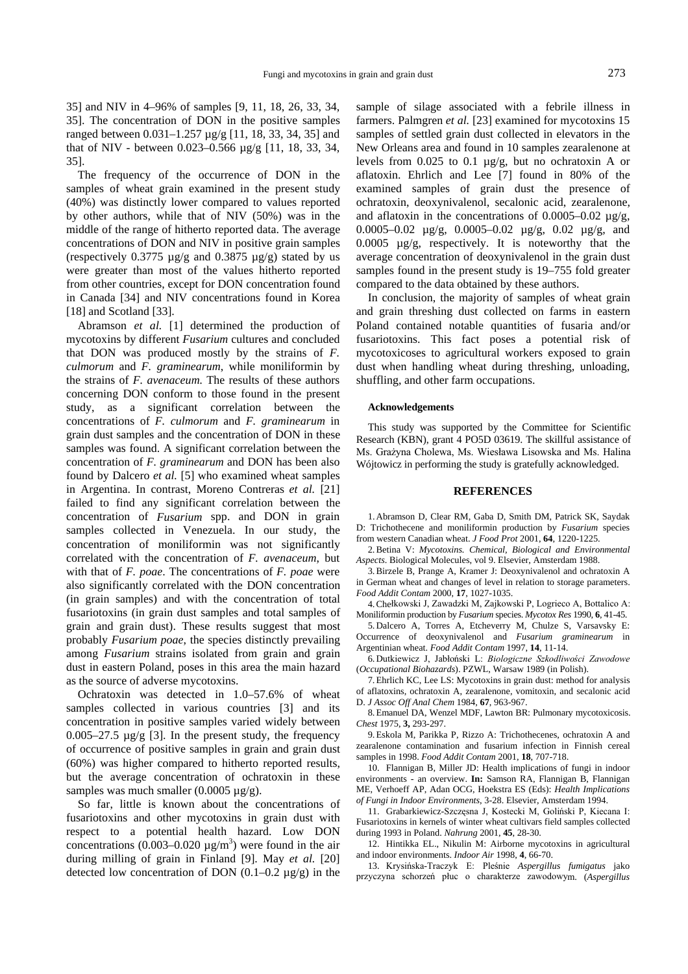35] and NIV in 4–96% of samples [9, 11, 18, 26, 33, 34, 35]. The concentration of DON in the positive samples ranged between 0.031–1.257 µg/g [11, 18, 33, 34, 35] and that of NIV - between 0.023–0.566 µg/g [11, 18, 33, 34, 35].

The frequency of the occurrence of DON in the samples of wheat grain examined in the present study (40%) was distinctly lower compared to values reported by other authors, while that of NIV (50%) was in the middle of the range of hitherto reported data. The average concentrations of DON and NIV in positive grain samples (respectively 0.3775  $\mu$ g/g and 0.3875  $\mu$ g/g) stated by us were greater than most of the values hitherto reported from other countries, except for DON concentration found in Canada [34] and NIV concentrations found in Korea [18] and Scotland [33].

Abramson et al. [1] determined the production of mycotoxins by different *Fusarium* cultures and concluded that DON was produced mostly by the strains of *F. culmorum* and *F. graminearum*, while moniliformin by the strains of *F. avenaceum.* The results of these authors concerning DON conform to those found in the present study, as a significant correlation between the concentrations of *F. culmorum* and *F. graminearum* in grain dust samples and the concentration of DON in these samples was found. A significant correlation between the concentration of *F. graminearum* and DON has been also found by Dalcero *et al.* [5] who examined wheat samples in Argentina. In contrast, Moreno Contreras *et al.* [21] failed to find any significant correlation between the concentration of *Fusarium* spp. and DON in grain samples collected in Venezuela. In our study, the concentration of moniliformin was not significantly correlated with the concentration of *F. avenaceum*, but with that of *F. poae*. The concentrations of *F. poae* were also significantly correlated with the DON concentration (in grain samples) and with the concentration of total fusariotoxins (in grain dust samples and total samples of grain and grain dust). These results suggest that most probably *Fusarium poae*, the species distinctly prevailing among *Fusarium* strains isolated from grain and grain dust in eastern Poland, poses in this area the main hazard as the source of adverse mycotoxins.

Ochratoxin was detected in 1.0–57.6% of wheat samples collected in various countries [3] and its concentration in positive samples varied widely between 0.005–27.5  $\mu$ g/g [3]. In the present study, the frequency of occurrence of positive samples in grain and grain dust (60%) was higher compared to hitherto reported results, but the average concentration of ochratoxin in these samples was much smaller  $(0.0005 \mu g/g)$ .

So far, little is known about the concentrations of fusariotoxins and other mycotoxins in grain dust with respect to a potential health hazard. Low DON concentrations (0.003–0.020  $\mu$ g/m<sup>3</sup>) were found in the air during milling of grain in Finland [9]. May *et al.* [20] detected low concentration of DON  $(0.1-0.2 \mu g/g)$  in the

sample of silage associated with a febrile illness in farmers. Palmgren *et al.* [23] examined for mycotoxins 15 samples of settled grain dust collected in elevators in the New Orleans area and found in 10 samples zearalenone at levels from 0.025 to 0.1 µg/g, but no ochratoxin A or aflatoxin. Ehrlich and Lee [7] found in 80% of the examined samples of grain dust the presence of ochratoxin, deoxynivalenol, secalonic acid, zearalenone, and aflatoxin in the concentrations of  $0.0005-0.02 \mu g/g$ , 0.0005–0.02 µg/g, 0.0005–0.02 µg/g, 0.02 µg/g, and 0.0005 µg/g, respectively. It is noteworthy that the average concentration of deoxynivalenol in the grain dust samples found in the present study is 19–755 fold greater compared to the data obtained by these authors.

In conclusion, the majority of samples of wheat grain and grain threshing dust collected on farms in eastern Poland contained notable quantities of fusaria and/or fusariotoxins. This fact poses a potential risk of mycotoxicoses to agricultural workers exposed to grain dust when handling wheat during threshing, unloading, shuffling, and other farm occupations.

#### **Acknowledgements**

This study was supported by the Committee for Scientific Research (KBN), grant 4 PO5D 03619. The skillful assistance of Ms. Grażyna Cholewa, Ms. Wiesława Lisowska and Ms. Halina Wójtowicz in performing the study is gratefully acknowledged.

#### **REFERENCES**

1. Abramson D, Clear RM, Gaba D, Smith DM, Patrick SK, Saydak D: Trichothecene and moniliformin production by *Fusarium* species from western Canadian wheat. *J Food Prot* 2001, **64**, 1220-1225.

2. Betina V: *Mycotoxins. Chemical, Biological and Environmental Aspects*. Biological Molecules, vol 9. Elsevier, Amsterdam 1988.

3. Birzele B, Prange A, Kramer J: Deoxynivalenol and ochratoxin A in German wheat and changes of level in relation to storage parameters. *Food Addit Contam* 2000, **17**, 1027-1035.

4. Chełkowski J, Zawadzki M, Zajkowski P, Logrieco A, Bottalico A: Moniliformin production by *Fusarium* species. *Mycotox Res* 1990, **6**, 41-45.

5. Dalcero A, Torres A, Etcheverry M, Chulze S, Varsavsky E: Occurrence of deoxynivalenol and *Fusarium graminearum* in Argentinian wheat. *Food Addit Contam* 1997, **14**, 11-14.

6. Dutkiewicz J, Jabłoński L: Biologiczne Szkodliwości Zawodowe (*Occupational Biohazards*). PZWL, Warsaw 1989 (in Polish).

7. Ehrlich KC, Lee LS: Mycotoxins in grain dust: method for analysis of aflatoxins, ochratoxin A, zearalenone, vomitoxin, and secalonic acid D. *J Assoc Off Anal Chem* 1984, **67**, 963-967.

8. Emanuel DA, Wenzel MDF, Lawton BR: Pulmonary mycotoxicosis. *Chest* 1975, **3,** 293-297.

9. Eskola M, Parikka P, Rizzo A: Trichothecenes, ochratoxin A and zearalenone contamination and fusarium infection in Finnish cereal samples in 1998. *Food Addit Contam* 2001, **18**, 707-718.

10. Flannigan B, Miller JD: Health implications of fungi in indoor environments - an overview. **In:** Samson RA, Flannigan B, Flannigan ME, Verhoeff AP, Adan OCG, Hoekstra ES (Eds): *Health Implications of Fungi in Indoor Environments*, 3-28. Elsevier, Amsterdam 1994.

11. Grabarkiewicz-Szczęsna J, Kostecki M, Goliński P, Kiecana I: Fusariotoxins in kernels of winter wheat cultivars field samples collected during 1993 in Poland. *Nahrung* 2001, **45**, 28-30.

12. Hintikka EL., Nikulin M: Airborne mycotoxins in agricultural and indoor environments. *Indoor Air* 1998, **4**, 66-70.

13. Krysińska-Traczyk E: Pleśnie Aspergillus fumigatus jako przyczyna schorzeń płuc o charakterze zawodowym. (Aspergillus